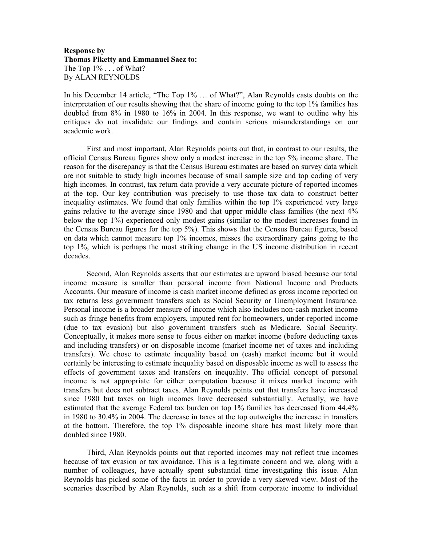## **Response by Thomas Piketty and Emmanuel Saez to:**  The Top  $1\%$ ... of What? By ALAN REYNOLDS

In his December 14 article, "The Top 1% … of What?", Alan Reynolds casts doubts on the interpretation of our results showing that the share of income going to the top 1% families has doubled from 8% in 1980 to 16% in 2004. In this response, we want to outline why his critiques do not invalidate our findings and contain serious misunderstandings on our academic work.

First and most important, Alan Reynolds points out that, in contrast to our results, the official Census Bureau figures show only a modest increase in the top 5% income share. The reason for the discrepancy is that the Census Bureau estimates are based on survey data which are not suitable to study high incomes because of small sample size and top coding of very high incomes. In contrast, tax return data provide a very accurate picture of reported incomes at the top. Our key contribution was precisely to use those tax data to construct better inequality estimates. We found that only families within the top 1% experienced very large gains relative to the average since 1980 and that upper middle class families (the next 4% below the top 1%) experienced only modest gains (similar to the modest increases found in the Census Bureau figures for the top 5%). This shows that the Census Bureau figures, based on data which cannot measure top 1% incomes, misses the extraordinary gains going to the top 1%, which is perhaps the most striking change in the US income distribution in recent decades.

Second, Alan Reynolds asserts that our estimates are upward biased because our total income measure is smaller than personal income from National Income and Products Accounts. Our measure of income is cash market income defined as gross income reported on tax returns less government transfers such as Social Security or Unemployment Insurance. Personal income is a broader measure of income which also includes non-cash market income such as fringe benefits from employers, imputed rent for homeowners, under-reported income (due to tax evasion) but also government transfers such as Medicare, Social Security. Conceptually, it makes more sense to focus either on market income (before deducting taxes and including transfers) or on disposable income (market income net of taxes and including transfers). We chose to estimate inequality based on (cash) market income but it would certainly be interesting to estimate inequality based on disposable income as well to assess the effects of government taxes and transfers on inequality. The official concept of personal income is not appropriate for either computation because it mixes market income with transfers but does not subtract taxes. Alan Reynolds points out that transfers have increased since 1980 but taxes on high incomes have decreased substantially. Actually, we have estimated that the average Federal tax burden on top 1% families has decreased from 44.4% in 1980 to 30.4% in 2004. The decrease in taxes at the top outweighs the increase in transfers at the bottom. Therefore, the top 1% disposable income share has most likely more than doubled since 1980.

Third, Alan Reynolds points out that reported incomes may not reflect true incomes because of tax evasion or tax avoidance. This is a legitimate concern and we, along with a number of colleagues, have actually spent substantial time investigating this issue. Alan Reynolds has picked some of the facts in order to provide a very skewed view. Most of the scenarios described by Alan Reynolds, such as a shift from corporate income to individual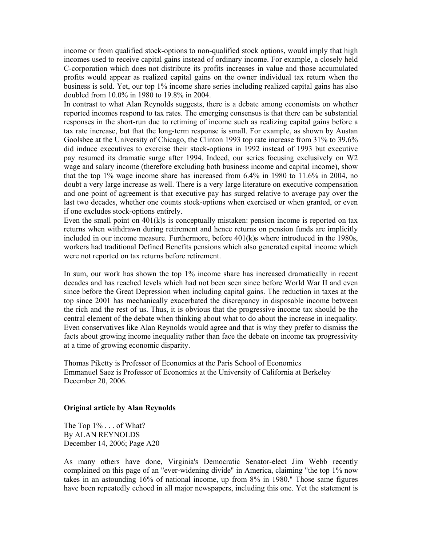income or from qualified stock-options to non-qualified stock options, would imply that high incomes used to receive capital gains instead of ordinary income. For example, a closely held C-corporation which does not distribute its profits increases in value and those accumulated profits would appear as realized capital gains on the owner individual tax return when the business is sold. Yet, our top 1% income share series including realized capital gains has also doubled from 10.0% in 1980 to 19.8% in 2004.

In contrast to what Alan Reynolds suggests, there is a debate among economists on whether reported incomes respond to tax rates. The emerging consensus is that there can be substantial responses in the short-run due to retiming of income such as realizing capital gains before a tax rate increase, but that the long-term response is small. For example, as shown by Austan Goolsbee at the University of Chicago, the Clinton 1993 top rate increase from 31% to 39.6% did induce executives to exercise their stock-options in 1992 instead of 1993 but executive pay resumed its dramatic surge after 1994. Indeed, our series focusing exclusively on W2 wage and salary income (therefore excluding both business income and capital income), show that the top  $1\%$  wage income share has increased from 6.4% in 1980 to  $11.6\%$  in 2004, no doubt a very large increase as well. There is a very large literature on executive compensation and one point of agreement is that executive pay has surged relative to average pay over the last two decades, whether one counts stock-options when exercised or when granted, or even if one excludes stock-options entirely.

Even the small point on  $401(k)$ s is conceptually mistaken: pension income is reported on tax returns when withdrawn during retirement and hence returns on pension funds are implicitly included in our income measure. Furthermore, before 401(k)s where introduced in the 1980s, workers had traditional Defined Benefits pensions which also generated capital income which were not reported on tax returns before retirement.

In sum, our work has shown the top 1% income share has increased dramatically in recent decades and has reached levels which had not been seen since before World War II and even since before the Great Depression when including capital gains. The reduction in taxes at the top since 2001 has mechanically exacerbated the discrepancy in disposable income between the rich and the rest of us. Thus, it is obvious that the progressive income tax should be the central element of the debate when thinking about what to do about the increase in inequality. Even conservatives like Alan Reynolds would agree and that is why they prefer to dismiss the facts about growing income inequality rather than face the debate on income tax progressivity at a time of growing economic disparity.

Thomas Piketty is Professor of Economics at the Paris School of Economics Emmanuel Saez is Professor of Economics at the University of California at Berkeley December 20, 2006.

## **Original article by Alan Reynolds**

The Top 1\% . . . of What? By ALAN REYNOLDS December 14, 2006; Page A20

As many others have done, Virginia's Democratic Senator-elect Jim Webb recently complained on this page of an "ever-widening divide" in America, claiming "the top 1% now takes in an astounding 16% of national income, up from 8% in 1980." Those same figures have been repeatedly echoed in all major newspapers, including this one. Yet the statement is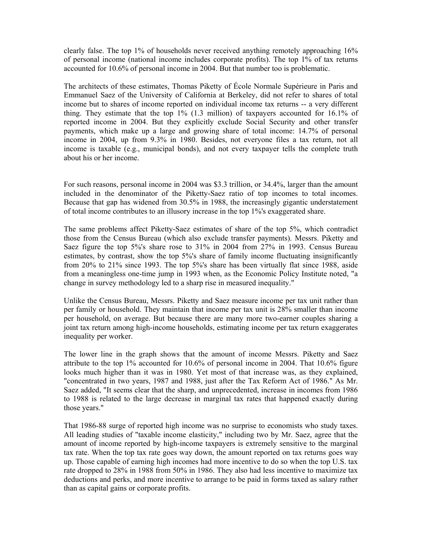clearly false. The top 1% of households never received anything remotely approaching 16% of personal income (national income includes corporate profits). The top 1% of tax returns accounted for 10.6% of personal income in 2004. But that number too is problematic.

The architects of these estimates, Thomas Piketty of École Normale Supérieure in Paris and Emmanuel Saez of the University of California at Berkeley, did not refer to shares of total income but to shares of income reported on individual income tax returns -- a very different thing. They estimate that the top 1% (1.3 million) of taxpayers accounted for 16.1% of reported income in 2004. But they explicitly exclude Social Security and other transfer payments, which make up a large and growing share of total income: 14.7% of personal income in 2004, up from 9.3% in 1980. Besides, not everyone files a tax return, not all income is taxable (e.g., municipal bonds), and not every taxpayer tells the complete truth about his or her income.

For such reasons, personal income in 2004 was \$3.3 trillion, or 34.4%, larger than the amount included in the denominator of the Piketty-Saez ratio of top incomes to total incomes. Because that gap has widened from 30.5% in 1988, the increasingly gigantic understatement of total income contributes to an illusory increase in the top 1%'s exaggerated share.

The same problems affect Piketty-Saez estimates of share of the top 5%, which contradict those from the Census Bureau (which also exclude transfer payments). Messrs. Piketty and Saez figure the top 5%'s share rose to 31% in 2004 from 27% in 1993. Census Bureau estimates, by contrast, show the top 5%'s share of family income fluctuating insignificantly from 20% to 21% since 1993. The top 5%'s share has been virtually flat since 1988, aside from a meaningless one-time jump in 1993 when, as the Economic Policy Institute noted, "a change in survey methodology led to a sharp rise in measured inequality."

Unlike the Census Bureau, Messrs. Piketty and Saez measure income per tax unit rather than per family or household. They maintain that income per tax unit is 28% smaller than income per household, on average. But because there are many more two-earner couples sharing a joint tax return among high-income households, estimating income per tax return exaggerates inequality per worker.

The lower line in the graph shows that the amount of income Messrs. Piketty and Saez attribute to the top 1% accounted for 10.6% of personal income in 2004. That 10.6% figure looks much higher than it was in 1980. Yet most of that increase was, as they explained, "concentrated in two years, 1987 and 1988, just after the Tax Reform Act of 1986." As Mr. Saez added, "It seems clear that the sharp, and unprecedented, increase in incomes from 1986 to 1988 is related to the large decrease in marginal tax rates that happened exactly during those years."

That 1986-88 surge of reported high income was no surprise to economists who study taxes. All leading studies of "taxable income elasticity," including two by Mr. Saez, agree that the amount of income reported by high-income taxpayers is extremely sensitive to the marginal tax rate. When the top tax rate goes way down, the amount reported on tax returns goes way up. Those capable of earning high incomes had more incentive to do so when the top U.S. tax rate dropped to 28% in 1988 from 50% in 1986. They also had less incentive to maximize tax deductions and perks, and more incentive to arrange to be paid in forms taxed as salary rather than as capital gains or corporate profits.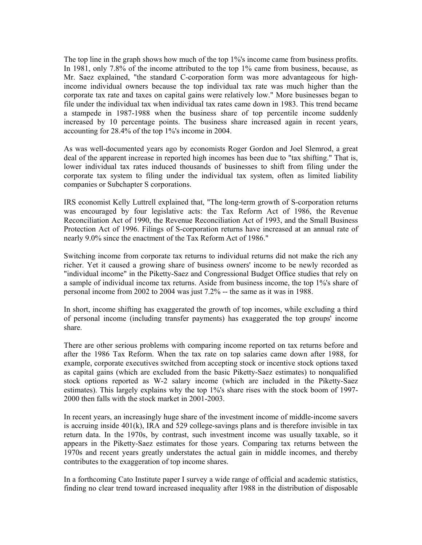The top line in the graph shows how much of the top 1%'s income came from business profits. In 1981, only 7.8% of the income attributed to the top 1% came from business, because, as Mr. Saez explained, "the standard C-corporation form was more advantageous for highincome individual owners because the top individual tax rate was much higher than the corporate tax rate and taxes on capital gains were relatively low." More businesses began to file under the individual tax when individual tax rates came down in 1983. This trend became a stampede in 1987-1988 when the business share of top percentile income suddenly increased by 10 percentage points. The business share increased again in recent years, accounting for 28.4% of the top 1%'s income in 2004.

As was well-documented years ago by economists Roger Gordon and Joel Slemrod, a great deal of the apparent increase in reported high incomes has been due to "tax shifting." That is, lower individual tax rates induced thousands of businesses to shift from filing under the corporate tax system to filing under the individual tax system, often as limited liability companies or Subchapter S corporations.

IRS economist Kelly Luttrell explained that, "The long-term growth of S-corporation returns was encouraged by four legislative acts: the Tax Reform Act of 1986, the Revenue Reconciliation Act of 1990, the Revenue Reconciliation Act of 1993, and the Small Business Protection Act of 1996. Filings of S-corporation returns have increased at an annual rate of nearly 9.0% since the enactment of the Tax Reform Act of 1986."

Switching income from corporate tax returns to individual returns did not make the rich any richer. Yet it caused a growing share of business owners' income to be newly recorded as "individual income" in the Piketty-Saez and Congressional Budget Office studies that rely on a sample of individual income tax returns. Aside from business income, the top 1%'s share of personal income from 2002 to 2004 was just 7.2% -- the same as it was in 1988.

In short, income shifting has exaggerated the growth of top incomes, while excluding a third of personal income (including transfer payments) has exaggerated the top groups' income share.

There are other serious problems with comparing income reported on tax returns before and after the 1986 Tax Reform. When the tax rate on top salaries came down after 1988, for example, corporate executives switched from accepting stock or incentive stock options taxed as capital gains (which are excluded from the basic Piketty-Saez estimates) to nonqualified stock options reported as W-2 salary income (which are included in the Piketty-Saez estimates). This largely explains why the top 1%'s share rises with the stock boom of 1997- 2000 then falls with the stock market in 2001-2003.

In recent years, an increasingly huge share of the investment income of middle-income savers is accruing inside  $401(k)$ , IRA and  $529$  college-savings plans and is therefore invisible in tax return data. In the 1970s, by contrast, such investment income was usually taxable, so it appears in the Piketty-Saez estimates for those years. Comparing tax returns between the 1970s and recent years greatly understates the actual gain in middle incomes, and thereby contributes to the exaggeration of top income shares.

In a forthcoming Cato Institute paper I survey a wide range of official and academic statistics, finding no clear trend toward increased inequality after 1988 in the distribution of disposable